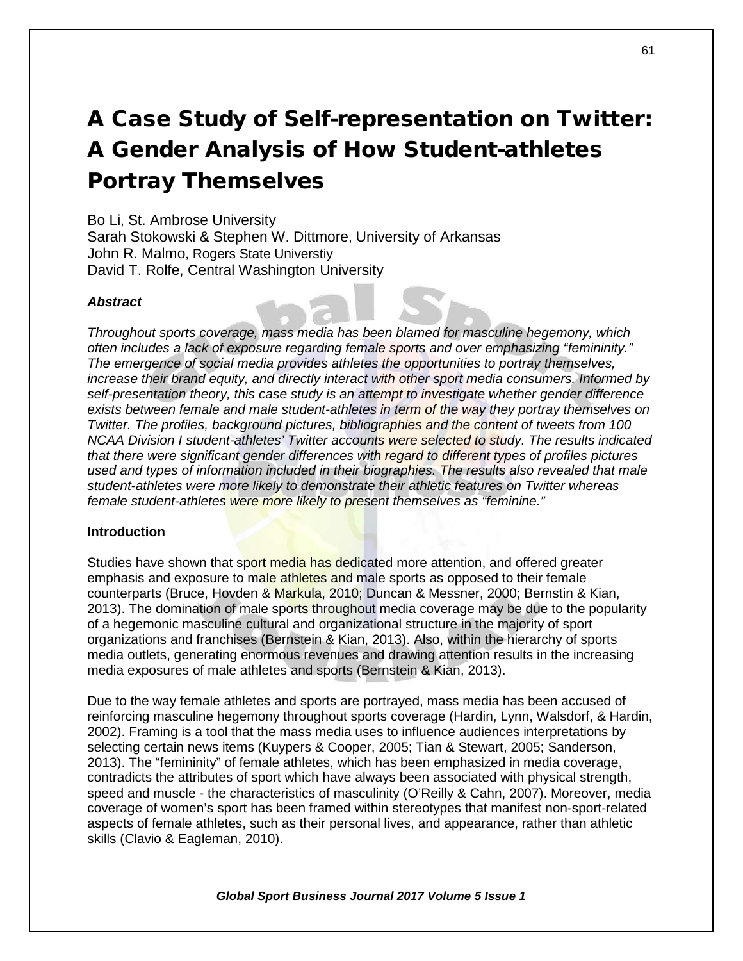# A Case Study of Self-representation on Twitter: A Gender Analysis of How Student-athletes Portray Themselves

## Bo Li, St. Ambrose University

Sarah Stokowski & Stephen W. Dittmore, University of Arkansas John R. Malmo, Rogers State Universtiy David T. Rolfe, Central Washington University

## *Abstract*

*Throughout sports coverage, mass media has been blamed for masculine hegemony, which often includes a lack of exposure regarding female sports and over emphasizing "femininity." The emergence of social media provides athletes the opportunities to portray themselves, increase their brand equity, and directly interact with other sport media consumers. Informed by self-presentation theory, this case study is an attempt to investigate whether gender difference exists between female and male student-athletes in term of the way they portray themselves on Twitter. The profiles, background pictures, bibliographies and the content of tweets from 100 NCAA Division I student-athletes' Twitter accounts were selected to study. The results indicated that there were significant gender differences with regard to different types of profiles pictures used and types of information included in their biographies. The results also revealed that male student-athletes were more likely to demonstrate their athletic features on Twitter whereas female student-athletes were more likely to present themselves as "feminine."*

## **Introduction**

Studies have shown that sport media has dedicated more attention, and offered greater emphasis and exposure to male athletes and male sports as opposed to their female counterparts (Bruce, Hovden & Markula, 2010; Duncan & Messner, 2000; Bernstin & Kian, 2013). The domination of male sports throughout media coverage may be due to the popularity of a hegemonic masculine cultural and organizational structure in the majority of sport organizations and franchises (Bernstein & Kian, 2013). Also, within the hierarchy of sports media outlets, generating enormous revenues and drawing attention results in the increasing media exposures of male athletes and sports (Bernstein & Kian, 2013).

Due to the way female athletes and sports are portrayed, mass media has been accused of reinforcing masculine hegemony throughout sports coverage (Hardin, Lynn, Walsdorf, & Hardin, 2002). Framing is a tool that the mass media uses to influence audiences interpretations by selecting certain news items (Kuypers & Cooper, 2005; Tian & Stewart, 2005; Sanderson, 2013). The "femininity" of female athletes, which has been emphasized in media coverage, contradicts the attributes of sport which have always been associated with physical strength, speed and muscle - the characteristics of masculinity (O'Reilly & Cahn, 2007). Moreover, media coverage of women's sport has been framed within stereotypes that manifest non-sport-related aspects of female athletes, such as their personal lives, and appearance, rather than athletic skills (Clavio & Eagleman, 2010).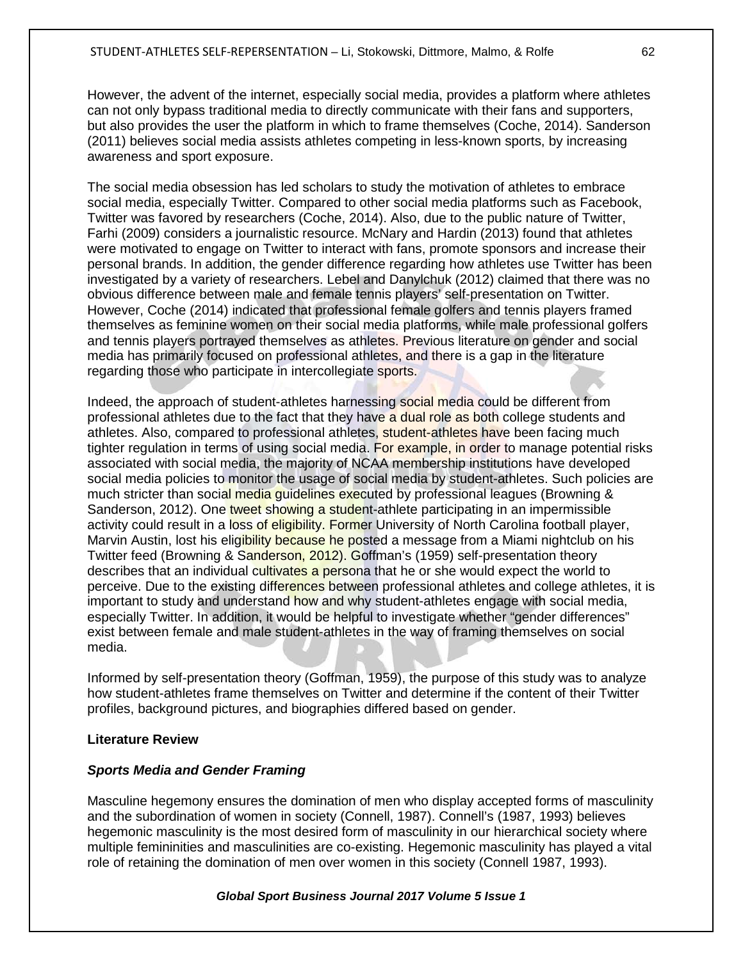However, the advent of the internet, especially social media, provides a platform where athletes can not only bypass traditional media to directly communicate with their fans and supporters, but also provides the user the platform in which to frame themselves (Coche, 2014). Sanderson (2011) believes social media assists athletes competing in less-known sports, by increasing awareness and sport exposure.

The social media obsession has led scholars to study the motivation of athletes to embrace social media, especially Twitter. Compared to other social media platforms such as Facebook, Twitter was favored by researchers (Coche, 2014). Also, due to the public nature of Twitter, Farhi (2009) considers a journalistic resource. McNary and Hardin (2013) found that athletes were motivated to engage on Twitter to interact with fans, promote sponsors and increase their personal brands. In addition, the gender difference regarding how athletes use Twitter has been investigated by a variety of researchers. Lebel and Danylchuk (2012) claimed that there was no obvious difference between male and female tennis players' self-presentation on Twitter. However, Coche (2014) indicated that professional female golfers and tennis players framed themselves as feminine women on their social media platforms, while male professional golfers and tennis players portrayed themselves as athletes. Previous literature on gender and social media has primarily focused on professional athletes, and there is a gap in the literature regarding those who participate in intercollegiate sports.

Indeed, the approach of student-athletes harnessing social media could be different from professional athletes due to the fact that they have a dual role as both college students and athletes. Also, compared to professional athletes, student-athletes have been facing much tighter regulation in terms of using social media. For example, in order to manage potential risks associated with social media, the majority of NCAA membership institutions have developed social media policies to monitor the usage of social media by student-athletes. Such policies are much stricter than social media guidelines executed by professional leagues (Browning & Sanderson, 2012). One tweet showing a student-athlete participating in an impermissible activity could result in a loss of eligibility. Former University of North Carolina football player, Marvin Austin, lost his eligibility because he posted a message from a Miami nightclub on his Twitter feed (Browning & Sanderson, 2012). Goffman's (1959) self-presentation theory describes that an individual cultivates a persona that he or she would expect the world to perceive. Due to the existing differences between professional athletes and college athletes, it is important to study and understand how and why student-athletes engage with social media, especially Twitter. In addition, it would be helpful to investigate whether "gender differences" exist between female and male student-athletes in the way of framing themselves on social media.

Informed by self-presentation theory (Goffman, 1959), the purpose of this study was to analyze how student-athletes frame themselves on Twitter and determine if the content of their Twitter profiles, background pictures, and biographies differed based on gender.

## **Literature Review**

## *Sports Media and Gender Framing*

Masculine hegemony ensures the domination of men who display accepted forms of masculinity and the subordination of women in society (Connell, 1987). Connell's (1987, 1993) believes hegemonic masculinity is the most desired form of masculinity in our hierarchical society where multiple femininities and masculinities are co-existing. Hegemonic masculinity has played a vital role of retaining the domination of men over women in this society (Connell 1987, 1993).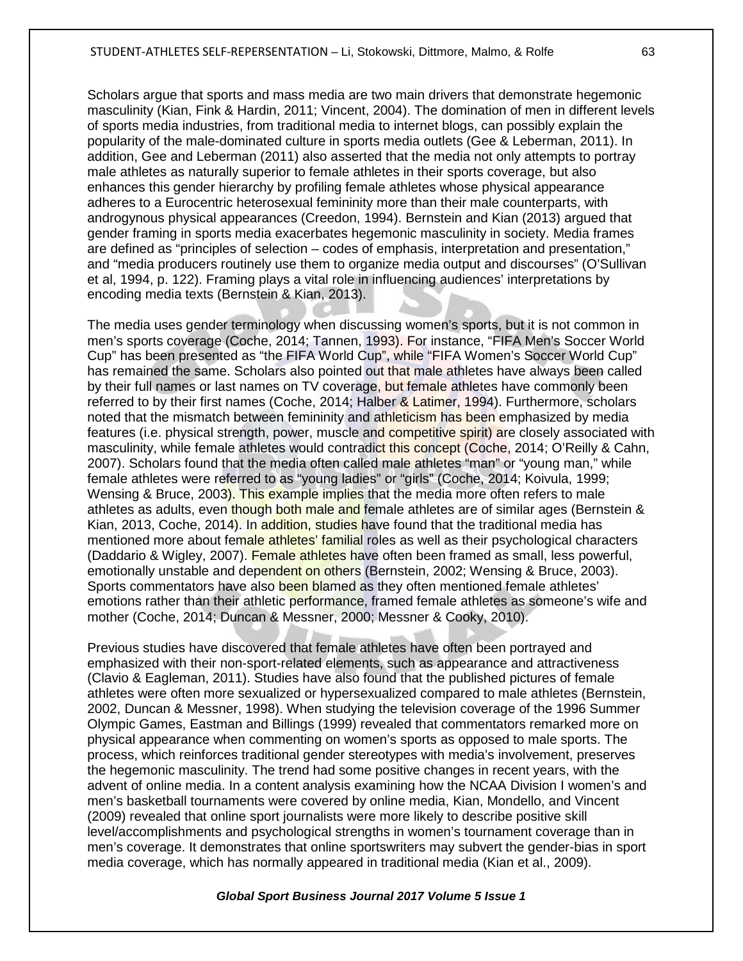Scholars argue that sports and mass media are two main drivers that demonstrate hegemonic masculinity (Kian, Fink & Hardin, 2011; Vincent, 2004). The domination of men in different levels of sports media industries, from traditional media to internet blogs, can possibly explain the popularity of the male-dominated culture in sports media outlets (Gee & Leberman, 2011). In addition, Gee and Leberman (2011) also asserted that the media not only attempts to portray male athletes as naturally superior to female athletes in their sports coverage, but also enhances this gender hierarchy by profiling female athletes whose physical appearance adheres to a Eurocentric heterosexual femininity more than their male counterparts, with androgynous physical appearances (Creedon, 1994). Bernstein and Kian (2013) argued that gender framing in sports media exacerbates hegemonic masculinity in society. Media frames are defined as "principles of selection – codes of emphasis, interpretation and presentation," and "media producers routinely use them to organize media output and discourses" (O'Sullivan et al, 1994, p. 122). Framing plays a vital role in influencing audiences' interpretations by encoding media texts (Bernstein & Kian, 2013).

The media uses gender terminology when discussing women's sports, but it is not common in men's sports coverage (Coche, 2014; Tannen, 1993). For instance, "FIFA Men's Soccer World Cup" has been presented as "the FIFA World Cup", while "FIFA Women's Soccer World Cup" has remained the same. Scholars also pointed out that male athletes have always been called by their full names or last names on TV coverage, but female athletes have commonly been referred to by their first names (Coche, 2014; Halber & Latimer, 1994). Furthermore, scholars noted that the mismatch between femininity and athleticism has been emphasized by media features (i.e. physical strength, power, muscle and competitive spirit) are closely associated with masculinity, while female athletes would contradict this concept (Coche, 2014; O'Reilly & Cahn, 2007). Scholars found that the media often called male athletes "man" or "young man," while female athletes were referred to as "young ladies" or "girls" (Coche, 2014; Koivula, 1999; Wensing & Bruce, 2003). This example implies that the media more often refers to male athletes as adults, even though both male and female athletes are of similar ages (Bernstein & Kian, 2013, Coche, 2014). In addition, studies have found that the traditional media has mentioned more about female athletes' familial roles as well as their psychological characters (Daddario & Wigley, 2007). Female athletes have often been framed as small, less powerful, emotionally unstable and dependent on others (Bernstein, 2002; Wensing & Bruce, 2003). Sports commentators have also been blamed as they often mentioned female athletes' emotions rather than their athletic performance, framed female athletes as someone's wife and mother (Coche, 2014; Duncan & Messner, 2000; Messner & Cooky, 2010).

Previous studies have discovered that female athletes have often been portrayed and emphasized with their non-sport-related elements, such as appearance and attractiveness (Clavio & Eagleman, 2011). Studies have also found that the published pictures of female athletes were often more sexualized or hypersexualized compared to male athletes (Bernstein, 2002, Duncan & Messner, 1998). When studying the television coverage of the 1996 Summer Olympic Games, Eastman and Billings (1999) revealed that commentators remarked more on physical appearance when commenting on women's sports as opposed to male sports. The process, which reinforces traditional gender stereotypes with media's involvement, preserves the hegemonic masculinity. The trend had some positive changes in recent years, with the advent of online media. In a content analysis examining how the NCAA Division I women's and men's basketball tournaments were covered by online media, Kian, Mondello, and Vincent (2009) revealed that online sport journalists were more likely to describe positive skill level/accomplishments and psychological strengths in women's tournament coverage than in men's coverage. It demonstrates that online sportswriters may subvert the gender-bias in sport media coverage, which has normally appeared in traditional media (Kian et al., 2009).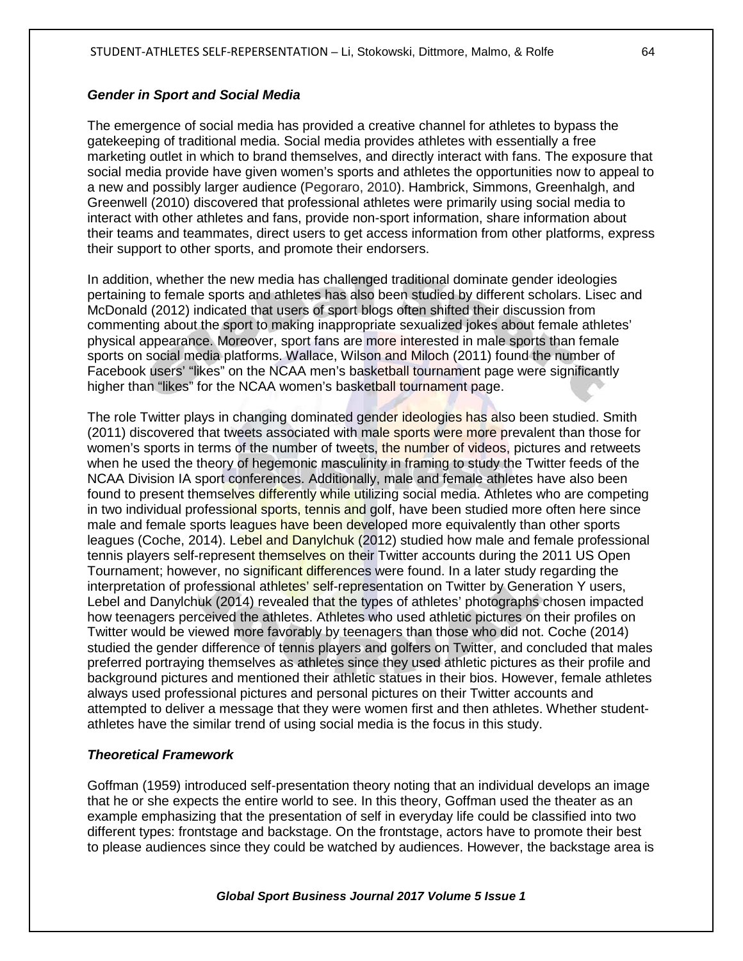## *Gender in Sport and Social Media*

The emergence of social media has provided a creative channel for athletes to bypass the gatekeeping of traditional media. Social media provides athletes with essentially a free marketing outlet in which to brand themselves, and directly interact with fans. The exposure that social media provide have given women's sports and athletes the opportunities now to appeal to a new and possibly larger audience (Pegoraro, 2010). Hambrick, Simmons, Greenhalgh, and Greenwell (2010) discovered that professional athletes were primarily using social media to interact with other athletes and fans, provide non-sport information, share information about their teams and teammates, direct users to get access information from other platforms, express their support to other sports, and promote their endorsers.

In addition, whether the new media has challenged traditional dominate gender ideologies pertaining to female sports and athletes has also been studied by different scholars. Lisec and McDonald (2012) indicated that users of sport blogs often shifted their discussion from commenting about the sport to making inappropriate sexualized jokes about female athletes' physical appearance. Moreover, sport fans are more interested in male sports than female sports on social media platforms. Wallace, Wilson and Miloch (2011) found the number of Facebook users' "likes" on the NCAA men's basketball tournament page were significantly higher than "likes" for the NCAA women's basketball tournament page.

The role Twitter plays in changing dominated gender ideologies has also been studied. Smith (2011) discovered that tweets associated with male sports were more prevalent than those for women's sports in terms of the number of tweets, the number of videos, pictures and retweets when he used the theory of hegemonic masculinity in framing to study the Twitter feeds of the NCAA Division IA sport conferences. Additionally, male and female athletes have also been found to present themselves differently while utilizing social media. Athletes who are competing in two individual professional sports, tennis and golf, have been studied more often here since male and female sports leagues have been developed more equivalently than other sports leagues (Coche, 2014). Lebel and Danylchuk (2012) studied how male and female professional tennis players self-represent themselves on their Twitter accounts during the 2011 US Open Tournament; however, no significant differences were found. In a later study regarding the interpretation of professional athletes' self-representation on Twitter by Generation Y users, Lebel and Danylchuk (2014) revealed that the types of athletes' photographs chosen impacted how teenagers perceived the athletes. Athletes who used athletic pictures on their profiles on Twitter would be viewed more favorably by teenagers than those who did not. Coche (2014) studied the gender difference of tennis players and golfers on Twitter, and concluded that males preferred portraying themselves as athletes since they used athletic pictures as their profile and background pictures and mentioned their athletic statues in their bios. However, female athletes always used professional pictures and personal pictures on their Twitter accounts and attempted to deliver a message that they were women first and then athletes. Whether studentathletes have the similar trend of using social media is the focus in this study.

## *Theoretical Framework*

Goffman (1959) introduced self-presentation theory noting that an individual develops an image that he or she expects the entire world to see. In this theory, Goffman used the theater as an example emphasizing that the presentation of self in everyday life could be classified into two different types: frontstage and backstage. On the frontstage, actors have to promote their best to please audiences since they could be watched by audiences. However, the backstage area is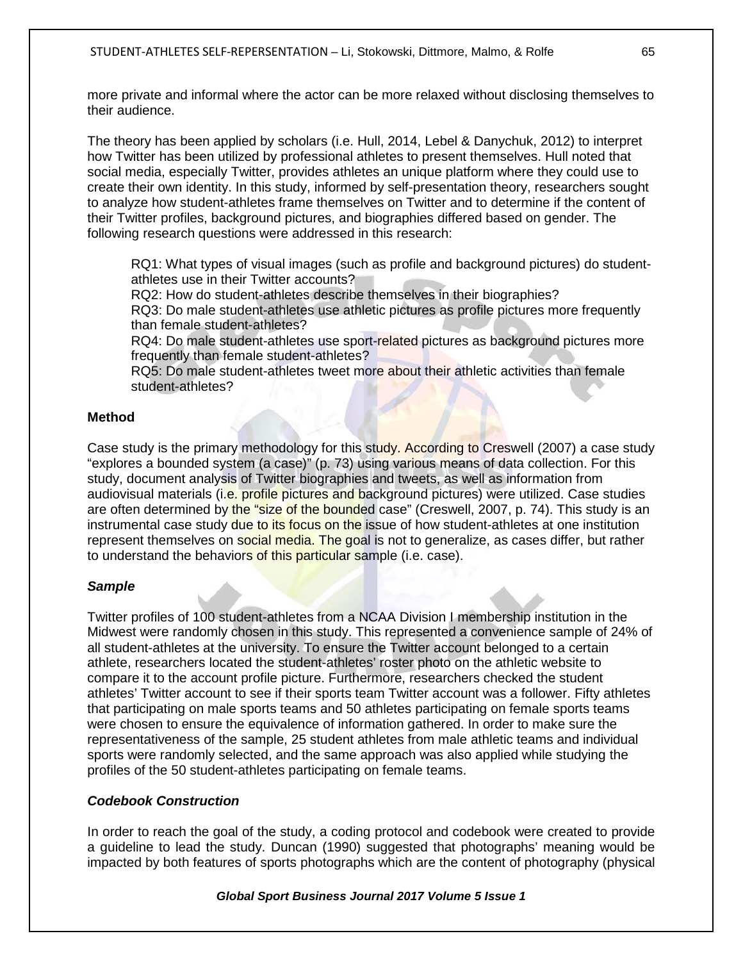more private and informal where the actor can be more relaxed without disclosing themselves to their audience.

The theory has been applied by scholars (i.e. Hull, 2014, Lebel & Danychuk, 2012) to interpret how Twitter has been utilized by professional athletes to present themselves. Hull noted that social media, especially Twitter, provides athletes an unique platform where they could use to create their own identity. In this study, informed by self-presentation theory, researchers sought to analyze how student-athletes frame themselves on Twitter and to determine if the content of their Twitter profiles, background pictures, and biographies differed based on gender. The following research questions were addressed in this research:

RQ1: What types of visual images (such as profile and background pictures) do studentathletes use in their Twitter accounts?

RQ2: How do student-athletes describe themselves in their biographies?

RQ3: Do male student-athletes use athletic pictures as profile pictures more frequently than female student-athletes?

RQ4: Do male student-athletes use sport-related pictures as background pictures more frequently than female student-athletes?

RQ5: Do male student-athletes tweet more about their athletic activities than female student-athletes?

# **Method**

Case study is the primary methodology for this study. According to Creswell (2007) a case study "explores a bounded system (a case)" (p. 73) using various means of data collection. For this study, document analysis of Twitter biographies and tweets, as well as information from audiovisual materials (i.e. profile pictures and background pictures) were utilized. Case studies are often determined by the "size of the bounded case" (Creswell, 2007, p. 74). This study is an instrumental case study due to its focus on the issue of how student-athletes at one institution represent themselves on social media. The goal is not to generalize, as cases differ, but rather to understand the behaviors of this particular sample (i.e. case).

# *Sample*

Twitter profiles of 100 student-athletes from a NCAA Division I membership institution in the Midwest were randomly chosen in this study. This represented a convenience sample of 24% of all student-athletes at the university. To ensure the Twitter account belonged to a certain athlete, researchers located the student-athletes' roster photo on the athletic website to compare it to the account profile picture. Furthermore, researchers checked the student athletes' Twitter account to see if their sports team Twitter account was a follower. Fifty athletes that participating on male sports teams and 50 athletes participating on female sports teams were chosen to ensure the equivalence of information gathered. In order to make sure the representativeness of the sample, 25 student athletes from male athletic teams and individual sports were randomly selected, and the same approach was also applied while studying the profiles of the 50 student-athletes participating on female teams.

# *Codebook Construction*

In order to reach the goal of the study, a coding protocol and codebook were created to provide a guideline to lead the study. Duncan (1990) suggested that photographs' meaning would be impacted by both features of sports photographs which are the content of photography (physical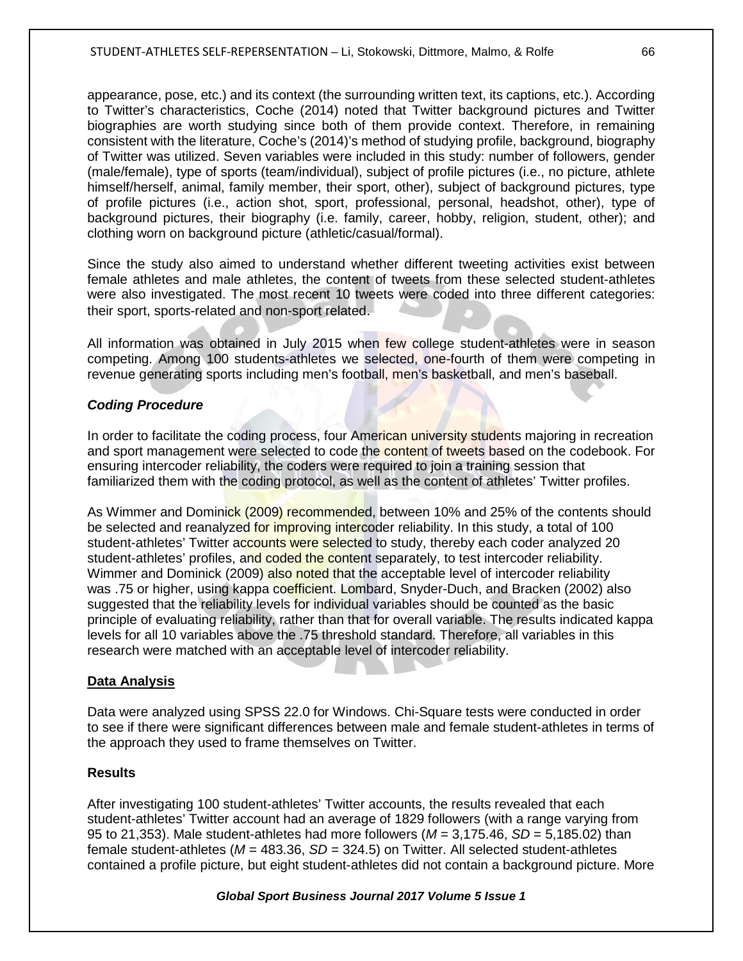appearance, pose, etc.) and its context (the surrounding written text, its captions, etc.). According to Twitter's characteristics, Coche (2014) noted that Twitter background pictures and Twitter biographies are worth studying since both of them provide context. Therefore, in remaining consistent with the literature, Coche's (2014)'s method of studying profile, background, biography of Twitter was utilized. Seven variables were included in this study: number of followers, gender (male/female), type of sports (team/individual), subject of profile pictures (i.e., no picture, athlete himself/herself, animal, family member, their sport, other), subject of background pictures, type of profile pictures (i.e., action shot, sport, professional, personal, headshot, other), type of background pictures, their biography (i.e. family, career, hobby, religion, student, other); and clothing worn on background picture (athletic/casual/formal).

Since the study also aimed to understand whether different tweeting activities exist between female athletes and male athletes, the content of tweets from these selected student-athletes were also investigated. The most recent 10 tweets were coded into three different categories: their sport, sports-related and non-sport related.

All information was obtained in July 2015 when few college student-athletes were in season competing. Among 100 students-athletes we selected, one-fourth of them were competing in revenue generating sports including men's football, men's basketball, and men's baseball.

# *Coding Procedure*

In order to facilitate the coding process, four American university students majoring in recreation and sport management were selected to code the content of tweets based on the codebook. For ensuring intercoder reliability, the coders were required to join a training session that familiarized them with the coding protocol, as well as the content of athletes' Twitter profiles.

As Wimmer and Dominick (2009) recommended, between 10% and 25% of the contents should be selected and reanalyzed for improving intercoder reliability. In this study, a total of 100 student-athletes' Twitter accounts were selected to study, thereby each coder analyzed 20 student-athletes' profiles, and coded the content separately, to test intercoder reliability. Wimmer and Dominick (2009) also noted that the acceptable level of intercoder reliability was .75 or higher, using kappa coefficient. Lombard, Snyder-Duch, and Bracken (2002) also suggested that the reliability levels for individual variables should be counted as the basic principle of evaluating reliability, rather than that for overall variable. The results indicated kappa levels for all 10 variables above the .75 threshold standard. Therefore, all variables in this research were matched with an acceptable level of intercoder reliability.

## **Data Analysis**

Data were analyzed using SPSS 22.0 for Windows. Chi-Square tests were conducted in order to see if there were significant differences between male and female student-athletes in terms of the approach they used to frame themselves on Twitter.

## **Results**

After investigating 100 student-athletes' Twitter accounts, the results revealed that each student-athletes' Twitter account had an average of 1829 followers (with a range varying from 95 to 21,353). Male student-athletes had more followers (*M* = 3,175.46, *SD* = 5,185.02) than female student-athletes (*M* = 483.36, *SD* = 324.5) on Twitter. All selected student-athletes contained a profile picture, but eight student-athletes did not contain a background picture. More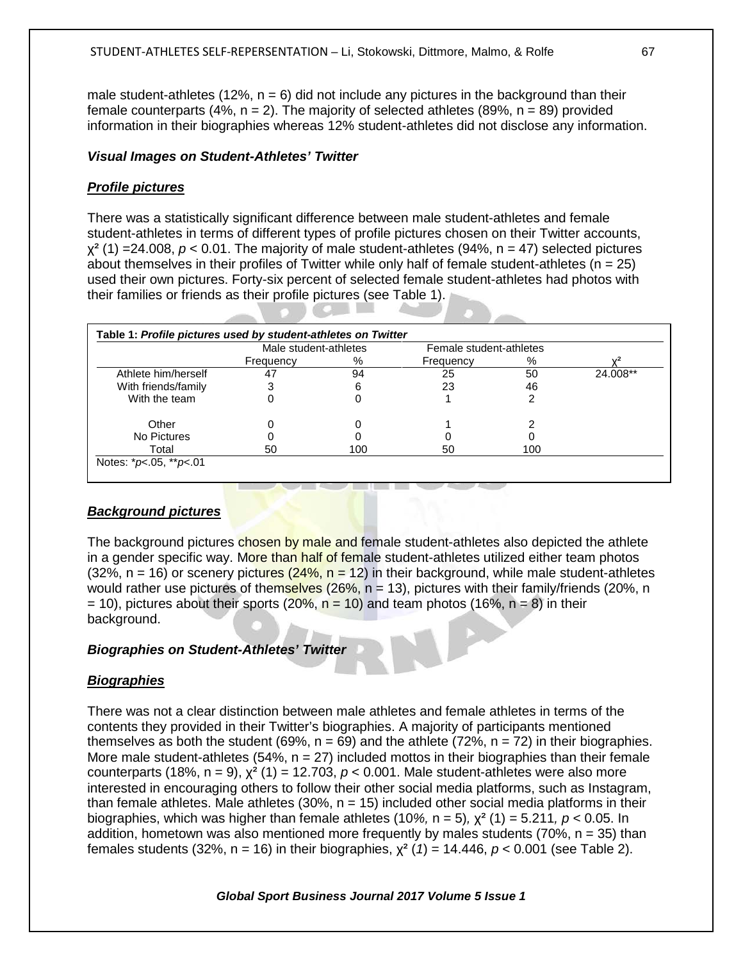male student-athletes (12%,  $n = 6$ ) did not include any pictures in the background than their female counterparts (4%,  $n = 2$ ). The majority of selected athletes (89%,  $n = 89$ ) provided information in their biographies whereas 12% student-athletes did not disclose any information.

# *Visual Images on Student-Athletes' Twitter*

# *Profile pictures*

There was a statistically significant difference between male student-athletes and female student-athletes in terms of different types of profile pictures chosen on their Twitter accounts,  $\chi^2$  (1) =24.008,  $p < 0.01$ . The majority of male student-athletes (94%, n = 47) selected pictures about themselves in their profiles of Twitter while only half of female student-athletes ( $n = 25$ ) used their own pictures. Forty-six percent of selected female student-athletes had photos with their families or friends as their profile pictures (see Table 1).

|                     | Male student-athletes |     | Female student-athletes |     |          |
|---------------------|-----------------------|-----|-------------------------|-----|----------|
|                     | Frequency             | %   | Frequency               | %   |          |
| Athlete him/herself | 47                    | 94  | 25                      | 50  | 24.008** |
| With friends/family |                       | 6   | 23                      | 46  |          |
| With the team       |                       | 0   |                         |     |          |
| Other               |                       | 0   |                         |     |          |
| No Pictures         |                       |     |                         |     |          |
| Total               | 50                    | 100 | 50                      | 100 |          |

# *Background pictures*

The background pictures chosen by male and female student-athletes also depicted the athlete in a gender specific way. More than half of female student-athletes utilized either team photos  $(32\%, n = 16)$  or scenery pictures  $(24\%, n = 12)$  in their background, while male student-athletes would rather use pictures of themselves (26%,  $n = 13$ ), pictures with their family/friends (20%, n  $= 10$ ), pictures about their sports (20%,  $n = 10$ ) and team photos (16%,  $n = 8$ ) in their background.

# *Biographies on Student-Athletes' Twitter*

# *Biographies*

There was not a clear distinction between male athletes and female athletes in terms of the contents they provided in their Twitter's biographies. A majority of participants mentioned themselves as both the student (69%,  $n = 69$ ) and the athlete (72%,  $n = 72$ ) in their biographies. More male student-athletes (54%,  $n = 27$ ) included mottos in their biographies than their female counterparts (18%,  $n = 9$ ),  $\chi^2$  (1) = 12.703,  $p < 0.001$ . Male student-athletes were also more interested in encouraging others to follow their other social media platforms, such as Instagram, than female athletes. Male athletes (30%,  $n = 15$ ) included other social media platforms in their biographies, which was higher than female athletes (10%,  $n = 5$ ),  $\chi^2$  (1) = 5.211,  $p < 0.05$ . In addition, hometown was also mentioned more frequently by males students (70%,  $n = 35$ ) than females students (32%, n = 16) in their biographies, χ² (*1*) = 14.446, *p* < 0.001 (see Table 2).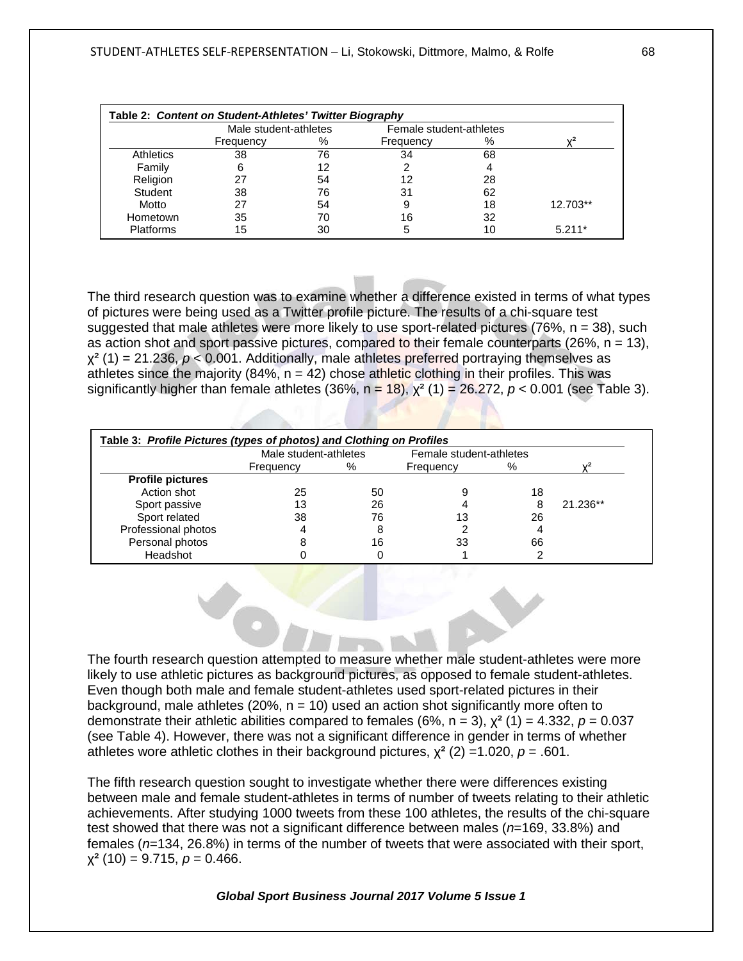| Table 2: Content on Student-Athletes' Twitter Biography |           |                       |           |                         |          |  |
|---------------------------------------------------------|-----------|-----------------------|-----------|-------------------------|----------|--|
|                                                         |           | Male student-athletes |           | Female student-athletes |          |  |
|                                                         | Frequency | %                     | Frequency | %                       | 2،       |  |
| <b>Athletics</b>                                        | 38        | 76                    | 34        | 68                      |          |  |
| Family                                                  | 6         | 12                    |           | 4                       |          |  |
| Religion                                                | 27        | 54                    | 12        | 28                      |          |  |
| Student                                                 | 38        | 76                    | 31        | 62                      |          |  |
| Motto                                                   | 27        | 54                    | 9         | 18                      | 12.703** |  |
| Hometown                                                | 35        | 70                    | 16        | 32                      |          |  |
| <b>Platforms</b>                                        | 15        | 30                    |           | 10                      | $5.211*$ |  |

The third research question was to examine whether a difference existed in terms of what types of pictures were being used as a Twitter profile picture. The results of a chi-square test suggested that male athletes were more likely to use sport-related pictures (76%, n = 38), such as action shot and sport passive pictures, compared to their female counterparts (26%,  $n = 13$ ),  $x^2$  (1) = 21.236,  $p < 0.001$ . Additionally, male athletes preferred portraying themselves as athletes since the majority (84%,  $n = 42$ ) chose athletic clothing in their profiles. This was significantly higher than female athletes (36%,  $n = 18$ ),  $\chi^2$  (1) = 26.272,  $p < 0.001$  (see Table 3).

| Table 3: Profile Pictures (types of photos) and Clothing on Profiles |                       |    |                         |    |          |  |  |
|----------------------------------------------------------------------|-----------------------|----|-------------------------|----|----------|--|--|
|                                                                      | Male student-athletes |    | Female student-athletes |    |          |  |  |
|                                                                      | Frequency             | %  | Frequency               | %  |          |  |  |
| <b>Profile pictures</b>                                              |                       |    |                         |    |          |  |  |
| Action shot                                                          | 25                    | 50 |                         | 18 |          |  |  |
| Sport passive                                                        | 13                    | 26 |                         |    | 21.236** |  |  |
| Sport related                                                        | 38                    | 76 | 13                      | 26 |          |  |  |
| Professional photos                                                  |                       | 8  |                         |    |          |  |  |
| Personal photos                                                      |                       | 16 | 33                      | 66 |          |  |  |
| Headshot                                                             |                       |    |                         |    |          |  |  |

The fourth research question attempted to measure whether male student-athletes were more likely to use athletic pictures as background pictures, as opposed to female student-athletes. Even though both male and female student-athletes used sport-related pictures in their background, male athletes (20%,  $n = 10$ ) used an action shot significantly more often to demonstrate their athletic abilities compared to females (6%,  $n = 3$ ),  $\chi^2$  (1) = 4.332,  $p = 0.037$ (see Table 4). However, there was not a significant difference in gender in terms of whether athletes wore athletic clothes in their background pictures,  $\chi^2$  (2) = 1.020,  $p = .601$ .

The fifth research question sought to investigate whether there were differences existing between male and female student-athletes in terms of number of tweets relating to their athletic achievements. After studying 1000 tweets from these 100 athletes, the results of the chi-square test showed that there was not a significant difference between males (*n*=169, 33.8%) and females (*n*=134, 26.8%) in terms of the number of tweets that were associated with their sport,  $\chi^2$  (10) = 9.715,  $p = 0.466$ .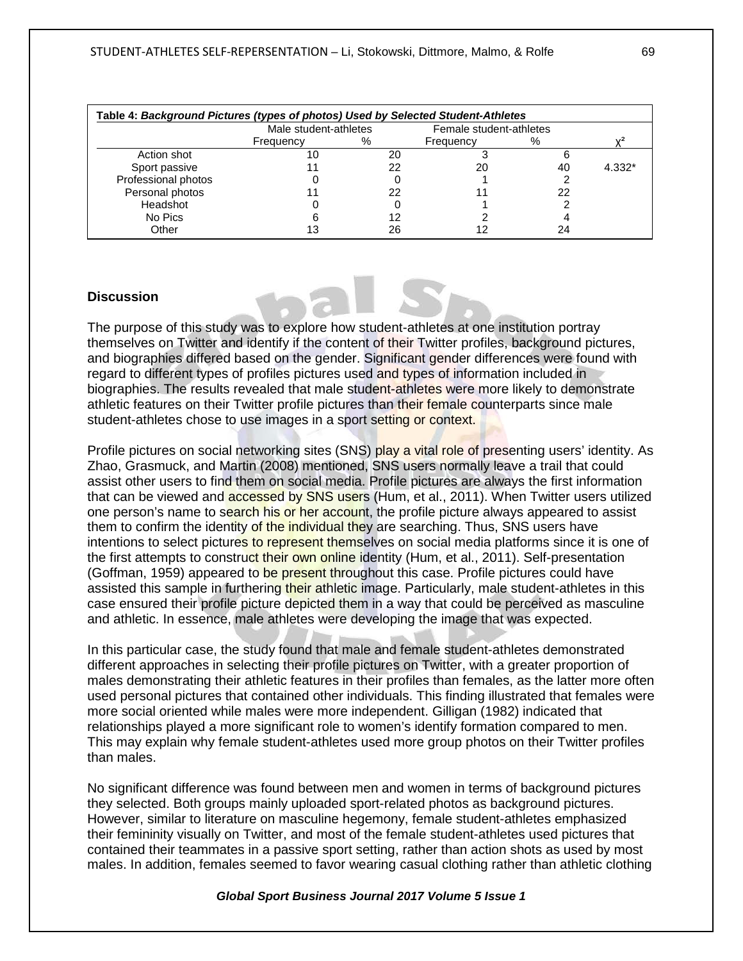| Table 4: Background Pictures (types of photos) Used by Selected Student-Athletes |                       |    |                         |    |          |  |  |  |
|----------------------------------------------------------------------------------|-----------------------|----|-------------------------|----|----------|--|--|--|
|                                                                                  | Male student-athletes |    | Female student-athletes |    |          |  |  |  |
|                                                                                  | Frequency             | %  | Frequency               | %  |          |  |  |  |
| Action shot                                                                      |                       | 20 |                         |    |          |  |  |  |
| Sport passive                                                                    |                       | 22 | 20                      | 40 | $4.332*$ |  |  |  |
| Professional photos                                                              |                       |    |                         |    |          |  |  |  |
| Personal photos                                                                  |                       | 22 |                         | 22 |          |  |  |  |
| Headshot                                                                         |                       |    |                         |    |          |  |  |  |
| No Pics                                                                          |                       | 12 |                         |    |          |  |  |  |
| Other                                                                            |                       | 26 |                         |    |          |  |  |  |

## **Discussion**

The purpose of this study was to explore how student-athletes at one institution portray themselves on Twitter and identify if the content of their Twitter profiles, background pictures, and biographies differed based on the gender. Significant gender differences were found with regard to different types of profiles pictures used and types of information included in biographies. The results revealed that male student-athletes were more likely to demonstrate athletic features on their Twitter profile pictures than their female counterparts since male student-athletes chose to use images in a sport setting or context.

Profile pictures on social networking sites (SNS) play a vital role of presenting users' identity. As Zhao, Grasmuck, and Martin (2008) mentioned, SNS users normally leave a trail that could assist other users to find them on social media. Profile pictures are always the first information that can be viewed and **accessed by SNS users** (Hum, et al., 2011). When Twitter users utilized one person's name to search his or her account, the profile picture always appeared to assist them to confirm the identity of the individual they are searching. Thus, SNS users have intentions to select pictures to represent themselves on social media platforms since it is one of the first attempts to construct their own online identity (Hum, et al., 2011). Self-presentation (Goffman, 1959) appeared to be present throughout this case. Profile pictures could have assisted this sample in furthering their athletic image. Particularly, male student-athletes in this case ensured their profile picture depicted them in a way that could be perceived as masculine and athletic. In essence, male athletes were developing the image that was expected.

In this particular case, the study found that male and female student-athletes demonstrated different approaches in selecting their profile pictures on Twitter, with a greater proportion of males demonstrating their athletic features in their profiles than females, as the latter more often used personal pictures that contained other individuals. This finding illustrated that females were more social oriented while males were more independent. Gilligan (1982) indicated that relationships played a more significant role to women's identify formation compared to men. This may explain why female student-athletes used more group photos on their Twitter profiles than males.

No significant difference was found between men and women in terms of background pictures they selected. Both groups mainly uploaded sport-related photos as background pictures. However, similar to literature on masculine hegemony, female student-athletes emphasized their femininity visually on Twitter, and most of the female student-athletes used pictures that contained their teammates in a passive sport setting, rather than action shots as used by most males. In addition, females seemed to favor wearing casual clothing rather than athletic clothing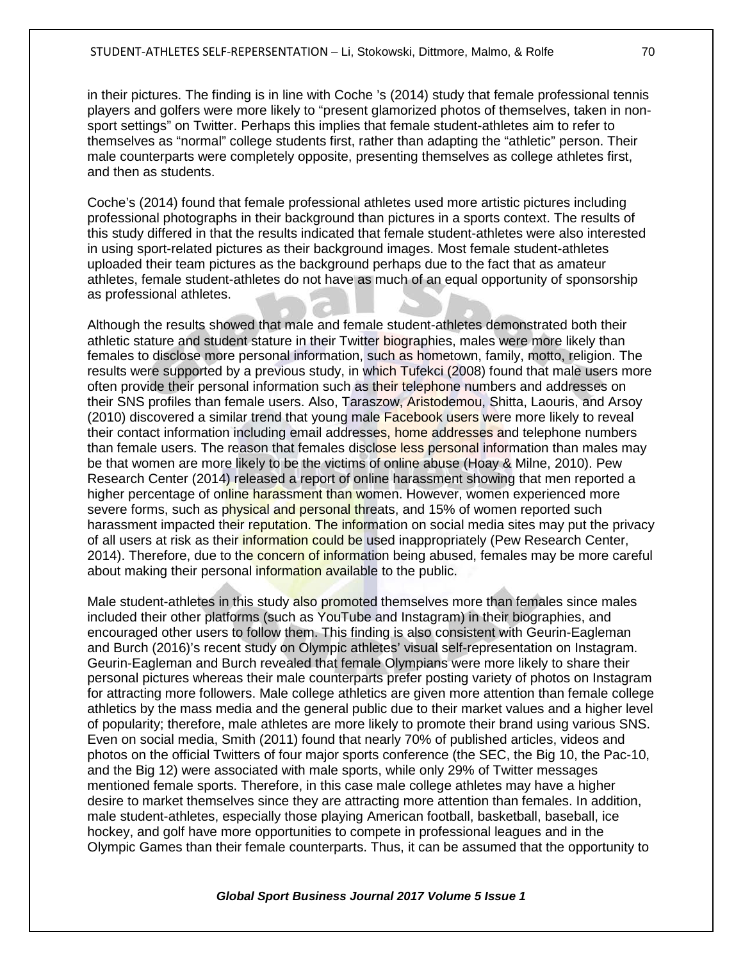in their pictures. The finding is in line with Coche 's (2014) study that female professional tennis players and golfers were more likely to "present glamorized photos of themselves, taken in nonsport settings" on Twitter. Perhaps this implies that female student-athletes aim to refer to themselves as "normal" college students first, rather than adapting the "athletic" person. Their male counterparts were completely opposite, presenting themselves as college athletes first, and then as students.

Coche's (2014) found that female professional athletes used more artistic pictures including professional photographs in their background than pictures in a sports context. The results of this study differed in that the results indicated that female student-athletes were also interested in using sport-related pictures as their background images. Most female student-athletes uploaded their team pictures as the background perhaps due to the fact that as amateur athletes, female student-athletes do not have as much of an equal opportunity of sponsorship as professional athletes.

Although the results showed that male and female student-athletes demonstrated both their athletic stature and student stature in their Twitter biographies, males were more likely than females to disclose more personal information, such as hometown, family, motto, religion. The results were supported by a previous study, in which Tufekci (2008) found that male users more often provide their personal information such as their telephone numbers and addresses on their SNS profiles than female users. Also, Taraszow, Aristodemou, Shitta, Laouris, and Arsoy (2010) discovered a similar trend that young male Facebook users were more likely to reveal their contact information including email addresses, home addresses and telephone numbers than female users. The reason that females disclose less personal information than males may be that women are more likely to be the victims of online abuse (Hoay & Milne, 2010). Pew Research Center (2014) released a report of online harassment showing that men reported a higher percentage of online harassment than women. However, women experienced more severe forms, such as physical and personal threats, and 15% of women reported such harassment impacted their reputation. The information on social media sites may put the privacy of all users at risk as their information could be used inappropriately (Pew Research Center, 2014). Therefore, due to the concern of information being abused, females may be more careful about making their personal information available to the public.

Male student-athletes in this study also promoted themselves more than females since males included their other platforms (such as YouTube and Instagram) in their biographies, and encouraged other users to follow them. This finding is also consistent with Geurin-Eagleman and Burch (2016)'s recent study on Olympic athletes' visual self-representation on Instagram. Geurin-Eagleman and Burch revealed that female Olympians were more likely to share their personal pictures whereas their male counterparts prefer posting variety of photos on Instagram for attracting more followers. Male college athletics are given more attention than female college athletics by the mass media and the general public due to their market values and a higher level of popularity; therefore, male athletes are more likely to promote their brand using various SNS. Even on social media, Smith (2011) found that nearly 70% of published articles, videos and photos on the official Twitters of four major sports conference (the SEC, the Big 10, the Pac-10, and the Big 12) were associated with male sports, while only 29% of Twitter messages mentioned female sports. Therefore, in this case male college athletes may have a higher desire to market themselves since they are attracting more attention than females. In addition, male student-athletes, especially those playing American football, basketball, baseball, ice hockey, and golf have more opportunities to compete in professional leagues and in the Olympic Games than their female counterparts. Thus, it can be assumed that the opportunity to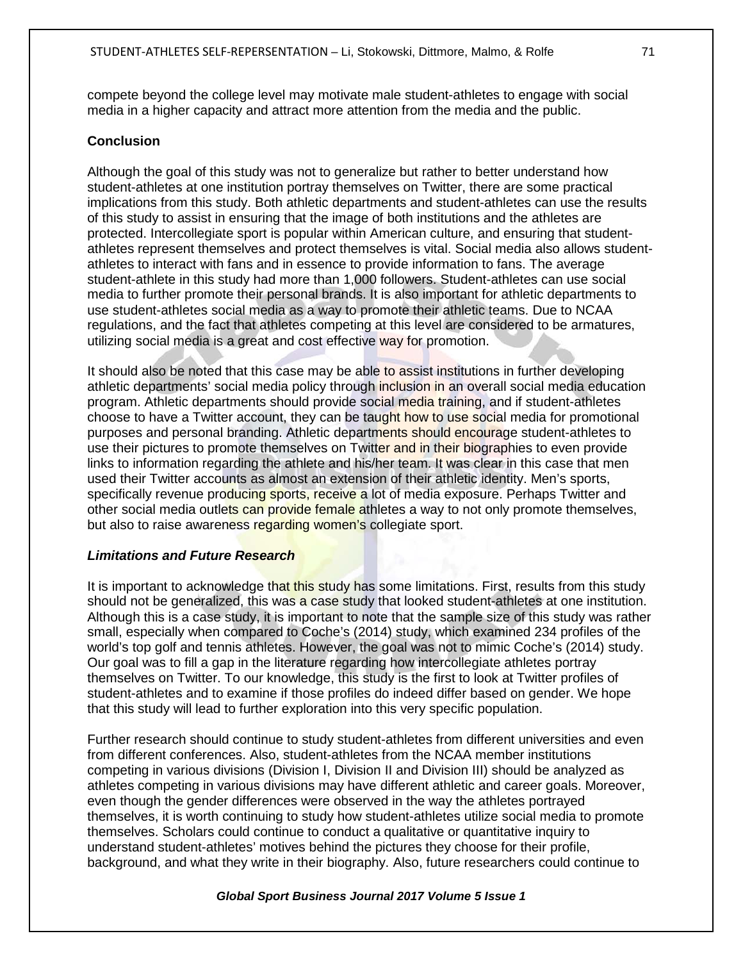compete beyond the college level may motivate male student-athletes to engage with social media in a higher capacity and attract more attention from the media and the public.

#### **Conclusion**

Although the goal of this study was not to generalize but rather to better understand how student-athletes at one institution portray themselves on Twitter, there are some practical implications from this study. Both athletic departments and student-athletes can use the results of this study to assist in ensuring that the image of both institutions and the athletes are protected. Intercollegiate sport is popular within American culture, and ensuring that studentathletes represent themselves and protect themselves is vital. Social media also allows studentathletes to interact with fans and in essence to provide information to fans. The average student-athlete in this study had more than 1,000 followers. Student-athletes can use social media to further promote their personal brands. It is also important for athletic departments to use student-athletes social media as a way to promote their athletic teams. Due to NCAA regulations, and the fact that athletes competing at this level are considered to be armatures, utilizing social media is a great and cost effective way for promotion.

It should also be noted that this case may be able to assist institutions in further developing athletic departments' social media policy through inclusion in an overall social media education program. Athletic departments should provide social media training, and if student-athletes choose to have a Twitter account, they can be taught how to use social media for promotional purposes and personal branding. Athletic departments should encourage student-athletes to use their pictures to promote themselves on Twitter and in their biographies to even provide links to information regarding the athlete and his/her team. It was clear in this case that men used their Twitter accounts as almost an extension of their athletic identity. Men's sports, specifically revenue producing sports, receive a lot of media exposure. Perhaps Twitter and other social media outlets can provide female athletes a way to not only promote themselves, but also to raise awareness regarding women's collegiate sport.

#### *Limitations and Future Research*

It is important to acknowledge that this study has some limitations. First, results from this study should not be generalized, this was a case study that looked student-athletes at one institution. Although this is a case study, it is important to note that the sample size of this study was rather small, especially when compared to Coche's (2014) study, which examined 234 profiles of the world's top golf and tennis athletes. However, the goal was not to mimic Coche's (2014) study. Our goal was to fill a gap in the literature regarding how intercollegiate athletes portray themselves on Twitter. To our knowledge, this study is the first to look at Twitter profiles of student-athletes and to examine if those profiles do indeed differ based on gender. We hope that this study will lead to further exploration into this very specific population.

Further research should continue to study student-athletes from different universities and even from different conferences. Also, student-athletes from the NCAA member institutions competing in various divisions (Division I, Division II and Division III) should be analyzed as athletes competing in various divisions may have different athletic and career goals. Moreover, even though the gender differences were observed in the way the athletes portrayed themselves, it is worth continuing to study how student-athletes utilize social media to promote themselves. Scholars could continue to conduct a qualitative or quantitative inquiry to understand student-athletes' motives behind the pictures they choose for their profile, background, and what they write in their biography. Also, future researchers could continue to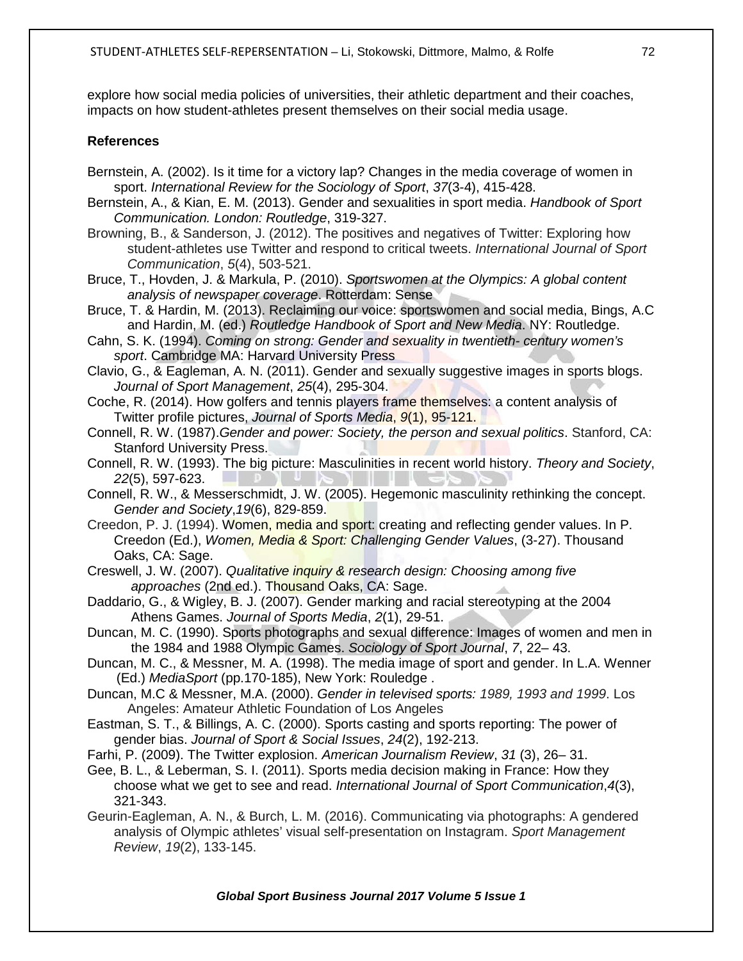explore how social media policies of universities, their athletic department and their coaches, impacts on how student-athletes present themselves on their social media usage.

## **References**

- Bernstein, A. (2002). Is it time for a victory lap? Changes in the media coverage of women in sport. *International Review for the Sociology of Sport*, *37*(3-4), 415-428.
- Bernstein, A., & Kian, E. M. (2013). Gender and sexualities in sport media. *Handbook of Sport Communication. London: Routledge*, 319-327.
- Browning, B., & Sanderson, J. (2012). The positives and negatives of Twitter: Exploring how student-athletes use Twitter and respond to critical tweets. *International Journal of Sport Communication*, *5*(4), 503-521.
- Bruce, T., Hovden, J. & Markula, P. (2010). *Sportswomen at the Olympics: A global content analysis of newspaper coverage*. Rotterdam: Sense
- Bruce, T. & Hardin, M. (2013). Reclaiming our voice: sportswomen and social media, Bings, A.C and Hardin, M. (ed.) *Routledge Handbook of Sport and New Media*. NY: Routledge.

Cahn, S. K. (1994). *Coming on strong: Gender and sexuality in twentieth- century women's sport*. Cambridge MA: Harvard University Press

Clavio, G., & Eagleman, A. N. (2011). Gender and sexually suggestive images in sports blogs. *Journal of Sport Management*, *25*(4), 295-304.

Coche, R. (2014). How golfers and tennis players frame themselves: a content analysis of Twitter profile pictures, *Journal of Sports Media*, *9*(1), 95-121.

Connell, R. W. (1987).*Gender and power: Society, the person and sexual politics*. Stanford, CA: Stanford University Press.

Connell, R. W. (1993). The big picture: Masculinities in recent world history. *Theory and Society*, *22*(5), 597-623.

Connell, R. W., & Messerschmidt, J. W. (2005). Hegemonic masculinity rethinking the concept. *Gender and Society*,*19*(6), 829-859.

- Creedon, P. J. (1994). Women, media and sport: creating and reflecting gender values. In P. Creedon (Ed.), *Women, Media & Sport: Challenging Gender Values*, (3-27). Thousand Oaks, CA: Sage.
- Creswell, J. W. (2007). *Qualitative inquiry & research design: Choosing among five approaches* (2nd ed.). Thousand Oaks, CA: Sage.
- Daddario, G., & Wigley, B. J. (2007). Gender marking and racial stereotyping at the 2004 Athens Games. *Journal of Sports Media*, *2*(1), 29-51.
- Duncan, M. C. (1990). Sports photographs and sexual difference: Images of women and men in the 1984 and 1988 Olympic Games. *Sociology of Sport Journal*, *7*, 22– 43.
- Duncan, M. C., & Messner, M. A. (1998). The media image of sport and gender. In L.A. Wenner (Ed.) *MediaSport* (pp.170-185), New York: Rouledge .
- Duncan, M.C & Messner, M.A. (2000). *Gender in televised sports: 1989, 1993 and 1999*. Los Angeles: Amateur Athletic Foundation of Los Angeles
- Eastman, S. T., & Billings, A. C. (2000). Sports casting and sports reporting: The power of gender bias. *Journal of Sport & Social Issues*, *24*(2), 192-213.
- Farhi, P. (2009). The Twitter explosion. *American Journalism Review*, *31* (3), 26– 31.
- Gee, B. L., & Leberman, S. I. (2011). Sports media decision making in France: How they choose what we get to see and read. *International Journal of Sport Communication*,*4*(3), 321-343.
- Geurin-Eagleman, A. N., & Burch, L. M. (2016). Communicating via photographs: A gendered analysis of Olympic athletes' visual self-presentation on Instagram. *Sport Management Review*, *19*(2), 133-145.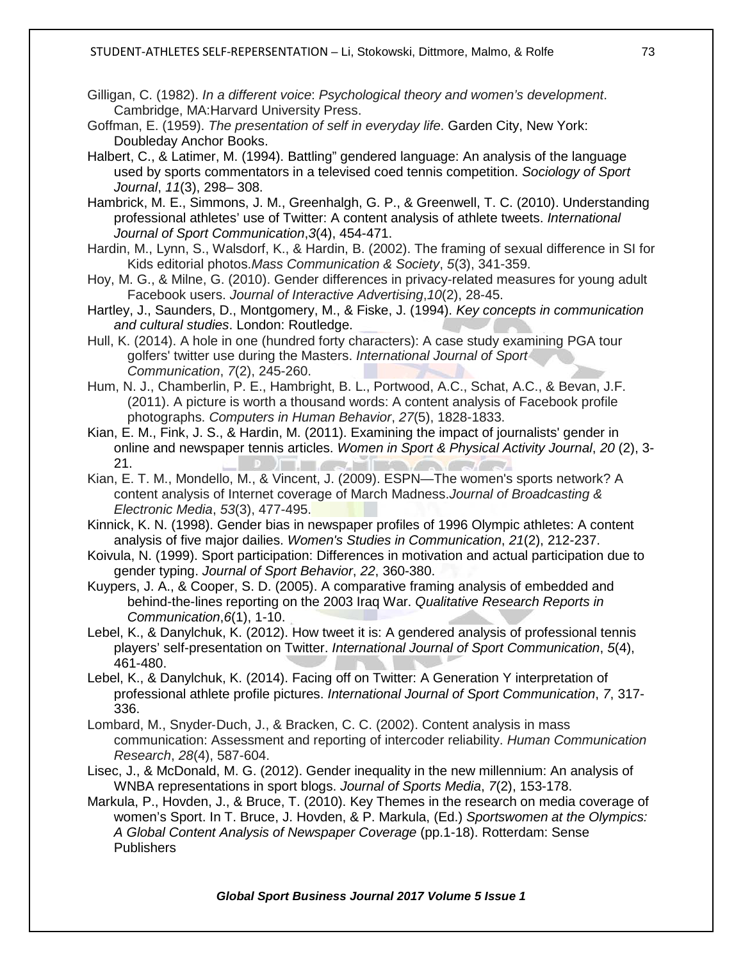- Gilligan, C. (1982). *In a different voice*: *Psychological theory and women's development*. Cambridge, MA:Harvard University Press.
- Goffman, E. (1959). *The presentation of self in everyday life*. Garden City, New York: Doubleday Anchor Books.
- Halbert, C., & Latimer, M. (1994). Battling" gendered language: An analysis of the language used by sports commentators in a televised coed tennis competition. *Sociology of Sport Journal*, *11*(3), 298– 308.

Hambrick, M. E., Simmons, J. M., Greenhalgh, G. P., & Greenwell, T. C. (2010). Understanding professional athletes' use of Twitter: A content analysis of athlete tweets. *International Journal of Sport Communication*,*3*(4), 454-471.

- Hardin, M., Lynn, S., Walsdorf, K., & Hardin, B. (2002). The framing of sexual difference in SI for Kids editorial photos.*Mass Communication & Society*, *5*(3), 341-359.
- Hoy, M. G., & Milne, G. (2010). Gender differences in privacy-related measures for young adult Facebook users. *Journal of Interactive Advertising*,*10*(2), 28-45.
- Hartley, J., Saunders, D., Montgomery, M., & Fiske, J. (1994). *Key concepts in communication and cultural studies*. London: Routledge.
- Hull, K. (2014). A hole in one (hundred forty characters): A case study examining PGA tour golfers' twitter use during the Masters. *International Journal of Sport Communication*, *7*(2), 245-260.
- Hum, N. J., Chamberlin, P. E., Hambright, B. L., Portwood, A.C., Schat, A.C., & Bevan, J.F. (2011). A picture is worth a thousand words: A content analysis of Facebook profile photographs. *Computers in Human Behavior*, *27*(5), 1828-1833.
- Kian, E. M., Fink, J. S., & Hardin, M. (2011). Examining the impact of journalists' gender in online and newspaper tennis articles. *Women in Sport & Physical Activity Journal*, *20* (2), 3- 21.  $\Gamma$  ,  $\Gamma$  ,  $\Gamma$  ,  $\Gamma$  ,  $\Gamma$  ,  $\Gamma$  ,  $\Gamma$  ,  $\Gamma$  ,  $\Gamma$  ,  $\Gamma$  ,  $\Gamma$
- Kian, E. T. M., Mondello, M., & Vincent, J. (2009). ESPN—The women's sports network? A content analysis of Internet coverage of March Madness.*Journal of Broadcasting & Electronic Media*, *53*(3), 477-495.
- Kinnick, K. N. (1998). Gender bias in newspaper profiles of 1996 Olympic athletes: A content analysis of five major dailies. *Women's Studies in Communication*, *21*(2), 212-237.
- Koivula, N. (1999). Sport participation: Differences in motivation and actual participation due to gender typing. *Journal of Sport Behavior*, *22*, 360-380.
- Kuypers, J. A., & Cooper, S. D. (2005). A comparative framing analysis of embedded and behind-the-lines reporting on the 2003 Iraq War. *Qualitative Research Reports in Communication*,*6*(1), 1-10.
- Lebel, K., & Danylchuk, K. (2012). How tweet it is: A gendered analysis of professional tennis players' self-presentation on Twitter. *International Journal of Sport Communication*, *5*(4), 461-480.

Lebel, K., & Danylchuk, K. (2014). Facing off on Twitter: A Generation Y interpretation of professional athlete profile pictures. *International Journal of Sport Communication*, *7*, 317- 336.

- Lombard, M., Snyder‐Duch, J., & Bracken, C. C. (2002). Content analysis in mass communication: Assessment and reporting of intercoder reliability. *Human Communication Research*, *28*(4), 587-604.
- Lisec, J., & McDonald, M. G. (2012). Gender inequality in the new millennium: An analysis of WNBA representations in sport blogs. *Journal of Sports Media*, *7*(2), 153-178.
- Markula, P., Hovden, J., & Bruce, T. (2010). Key Themes in the research on media coverage of women's Sport. In T. Bruce, J. Hovden, & P. Markula, (Ed.) *Sportswomen at the Olympics: A Global Content Analysis of Newspaper Coverage* (pp.1-18). Rotterdam: Sense **Publishers**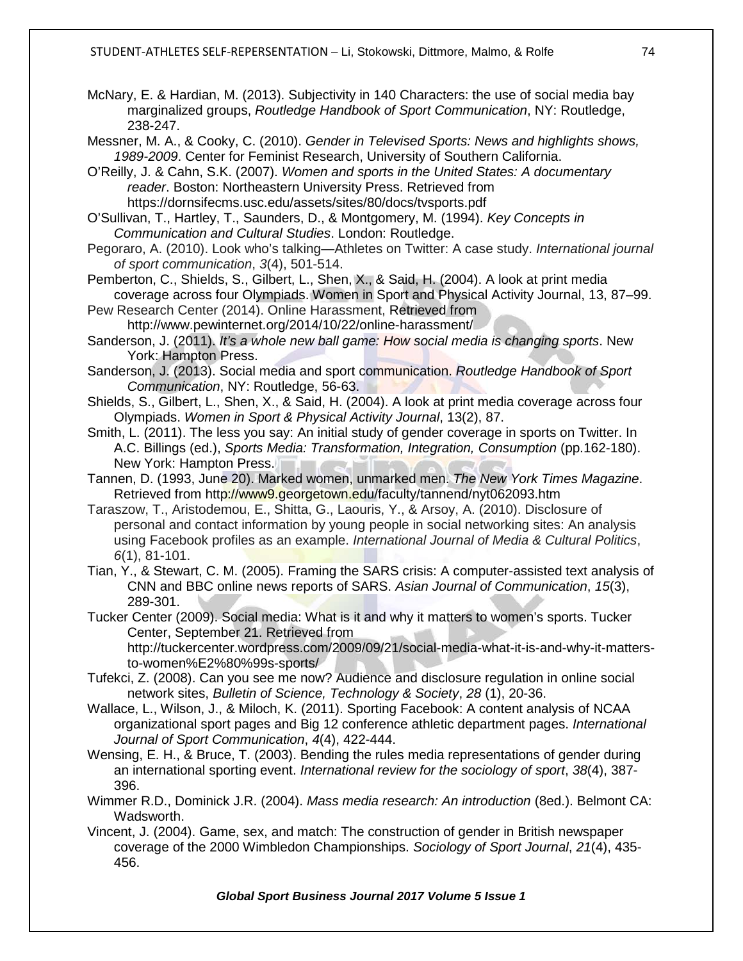McNary, E. & Hardian, M. (2013). Subjectivity in 140 Characters: the use of social media bay marginalized groups, *Routledge Handbook of Sport Communication*, NY: Routledge, 238-247.

Messner, M. A., & Cooky, C. (2010). *Gender in Televised Sports: News and highlights shows, 1989-2009*. Center for Feminist Research, University of Southern California.

O'Reilly, J. & Cahn, S.K. (2007). *Women and sports in the United States: A documentary reader*. Boston: Northeastern University Press. Retrieved from <https://dornsifecms.usc.edu/assets/sites/80/docs/tvsports.pdf>

O'Sullivan, T., Hartley, T., Saunders, D., & Montgomery, M. (1994). *Key Concepts in Communication and Cultural Studies*. London: Routledge.

Pegoraro, A. (2010). Look who's talking—Athletes on Twitter: A case study. *International journal of sport communication*, *3*(4), 501-514.

Pemberton, C., Shields, S., Gilbert, L., Shen, X., & Said, H. (2004). A look at print media coverage across four Olympiads. Women in Sport and Physical Activity Journal, 13, 87–99.

Pew Research Center (2014). Online Harassment, Retrieved from <http://www.pewinternet.org/2014/10/22/online-harassment/>

Sanderson, J. (2011). *It's a whole new ball game: How social media is changing sports*. New York: Hampton Press.

Sanderson, J. (2013). Social media and sport communication. *Routledge Handbook of Sport Communication*, NY: Routledge, 56-63.

Shields, S., Gilbert, L., Shen, X., & Said, H. (2004). A look at print media coverage across four Olympiads. *Women in Sport & Physical Activity Journal*, 13(2), 87.

Smith, L. (2011). The less you say: An initial study of gender coverage in sports on Twitter. In A.C. Billings (ed.), *Sports Media: Transformation, Integration, Consumption* (pp.162-180). New York: Hampton Press.

Tannen, D. (1993, June 20). Marked women, unmarked men. *The New York Times Magazine*. Retrieved from<http://www9.georgetown.edu/faculty/tannend/nyt062093.htm>

Taraszow, T., Aristodemou, E., Shitta, G., Laouris, Y., & Arsoy, A. (2010). Disclosure of personal and contact information by young people in social networking sites: An analysis using Facebook profiles as an example. *International Journal of Media & Cultural Politics*, *6*(1), 81-101.

Tian, Y., & Stewart, C. M. (2005). Framing the SARS crisis: A computer-assisted text analysis of CNN and BBC online news reports of SARS. *Asian Journal of Communication*, *15*(3), 289-301.

Tucker Center (2009). Social media: What is it and why it matters to women's sports. Tucker Center, September 21. Retrieved from [http://tuckercenter.wordpress.com/2009/09/21/social-media-what-it-is-and-why-it-matters-](http://tuckercenter.wordpress.com/2009/09/21/social-media-what-it-is-and-why-it-matters-to-women%E2%80%99s-sports/)

[to-women%E2%80%99s-sports/](http://tuckercenter.wordpress.com/2009/09/21/social-media-what-it-is-and-why-it-matters-to-women%E2%80%99s-sports/) Tufekci, Z. (2008). Can you see me now? Audience and disclosure regulation in online social network sites, *Bulletin of Science, Technology & Society*, *28* (1), 20-36.

Wallace, L., Wilson, J., & Miloch, K. (2011). Sporting Facebook: A content analysis of NCAA organizational sport pages and Big 12 conference athletic department pages. *International Journal of Sport Communication*, *4*(4), 422-444.

Wensing, E. H., & Bruce, T. (2003). Bending the rules media representations of gender during an international sporting event. *International review for the sociology of sport*, *38*(4), 387- 396.

Wimmer R.D., Dominick J.R. (2004). *Mass media research: An introduction* (8ed.). Belmont CA: Wadsworth.

Vincent, J. (2004). Game, sex, and match: The construction of gender in British newspaper coverage of the 2000 Wimbledon Championships. *Sociology of Sport Journal*, *21*(4), 435- 456.